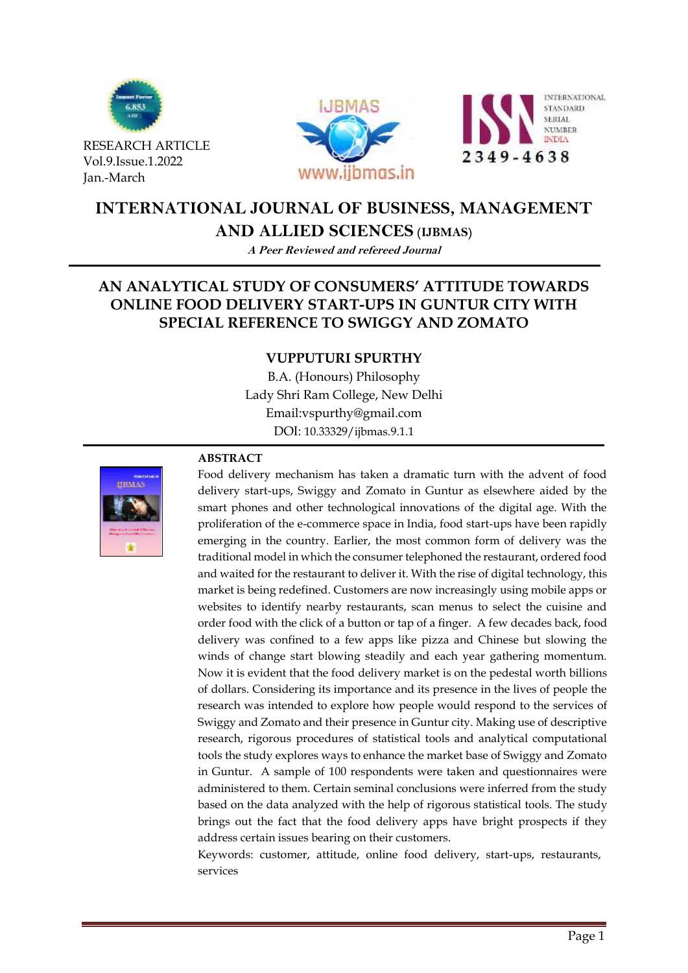





# **INTERNATIONAL JOURNAL OF BUSINESS, MANAGEMENT AND ALLIED SCIENCES (IJBMAS)**

**A Peer Reviewed and refereed Journal**

# **AN ANALYTICAL STUDY OF CONSUMERS' ATTITUDE TOWARDS ONLINE FOOD DELIVERY START-UPS IN GUNTUR CITY WITH SPECIAL REFERENCE TO SWIGGY AND ZOMATO**

# **VUPPUTURI SPURTHY**

B.A. (Honours) Philosophy Lady Shri Ram College, New Delhi Email:vspurthy@gmail.com DOI: [10.33329/ijbmas.9.1.1](http://www.ijbmas.in/)



# **ABSTRACT**

Food delivery mechanism has taken a dramatic turn with the advent of food delivery start-ups, Swiggy and Zomato in Guntur as elsewhere aided by the smart phones and other technological innovations of the digital age. With the proliferation of the e-commerce space in India, food start-ups have been rapidly emerging in the country. Earlier, the most common form of delivery was the traditional model in which the consumer telephoned the restaurant, ordered food and waited for the restaurant to deliver it. With the rise of digital technology, this market is being redefined. Customers are now increasingly using mobile apps or websites to identify nearby restaurants, scan menus to select the cuisine and order food with the click of a button or tap of a finger. A few decades back, food delivery was confined to a few apps like pizza and Chinese but slowing the winds of change start blowing steadily and each year gathering momentum. Now it is evident that the food delivery market is on the pedestal worth billions of dollars. Considering its importance and its presence in the lives of people the research was intended to explore how people would respond to the services of Swiggy and Zomato and their presence in Guntur city. Making use of descriptive research, rigorous procedures of statistical tools and analytical computational tools the study explores ways to enhance the market base of Swiggy and Zomato in Guntur. A sample of 100 respondents were taken and questionnaires were administered to them. Certain seminal conclusions were inferred from the study based on the data analyzed with the help of rigorous statistical tools. The study brings out the fact that the food delivery apps have bright prospects if they address certain issues bearing on their customers.

Keywords: customer, attitude, online food delivery, start-ups, restaurants, services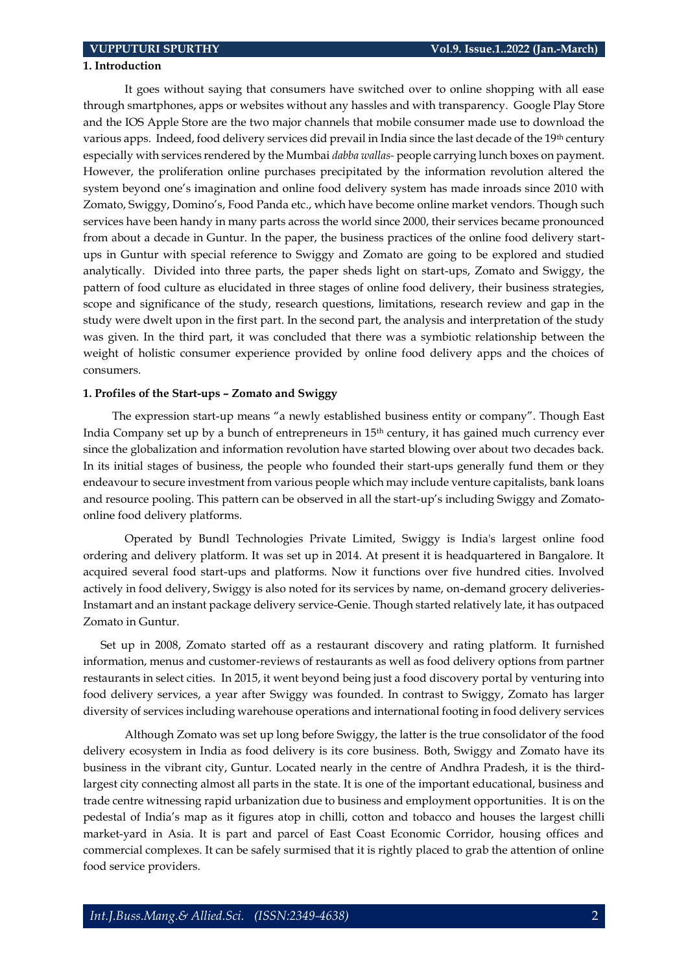#### **1. Introduction**

It goes without saying that consumers have switched over to online shopping with all ease through smartphones, apps or websites without any hassles and with transparency. Google Play Store and the IOS Apple Store are the two major channels that mobile consumer made use to download the various apps. Indeed, food delivery services did prevail in India since the last decade of the 19th century especially with services rendered by the Mumbai *dabba wallas-* people carrying lunch boxes on payment. However, the proliferation online purchases precipitated by the information revolution altered the system beyond one's imagination and online food delivery system has made inroads since 2010 with Zomato, Swiggy, Domino's, Food Panda etc., which have become online market vendors. Though such services have been handy in many parts across the world since 2000, their services became pronounced from about a decade in Guntur. In the paper, the business practices of the online food delivery startups in Guntur with special reference to Swiggy and Zomato are going to be explored and studied analytically. Divided into three parts, the paper sheds light on start-ups, Zomato and Swiggy, the pattern of food culture as elucidated in three stages of online food delivery, their business strategies, scope and significance of the study, research questions, limitations, research review and gap in the study were dwelt upon in the first part. In the second part, the analysis and interpretation of the study was given. In the third part, it was concluded that there was a symbiotic relationship between the weight of holistic consumer experience provided by online food delivery apps and the choices of consumers.

#### **1. Profiles of the Start-ups – Zomato and Swiggy**

 The expression start-up means "a newly established business entity or company". Though East India Company set up by a bunch of entrepreneurs in 15th century, it has gained much currency ever since the globalization and information revolution have started blowing over about two decades back. In its initial stages of business, the people who founded their start-ups generally fund them or they endeavour to secure investment from various people which may include venture capitalists, bank loans and resource pooling. This pattern can be observed in all the start-up's including Swiggy and Zomatoonline food delivery platforms.

Operated by Bundl Technologies Private Limited, Swiggy is India's largest [online food](https://en.wikipedia.org/wiki/Online_food_ordering)  [ordering](https://en.wikipedia.org/wiki/Online_food_ordering) and [delivery](https://en.wikipedia.org/wiki/Food_delivery) [platform.](https://en.wikipedia.org/wiki/Web_platform) It was set up in 2014. At present it is headquartered in Bangalore. It acquired several food start-ups and platforms. Now it functions over five hundred cities. Involved actively in food delivery, Swiggy is also noted for its services by name, on-demand grocery deliveries-Instamart and an instant [package delivery service-](https://en.wikipedia.org/wiki/Package_delivery#Same-day_delivery)Genie. Though started relatively late, it has outpaced Zomato in Guntur.

 Set up in 2008, Zomato started off as a restaurant discovery and rating platform. It furnished information, menus and customer-reviews of restaurants as well as food delivery options from partner restaurants in select cities. In 2015, it went beyond being just a food discovery portal by venturing into food delivery services, a year after Swiggy was founded. In contrast to Swiggy, Zomato has larger diversity of services including warehouse operations and international footing in food delivery services

Although Zomato was set up long before Swiggy, the latter is the true consolidator of the food delivery ecosystem in India as food delivery is its core business. Both, Swiggy and Zomato have its business in the vibrant city, Guntur. Located nearly in the centre of Andhra Pradesh, it is the thirdlargest city connecting almost all parts in the state. It is one of the important educational, business and trade centre witnessing rapid urbanization due to business and employment opportunities. It is on the pedestal of India's map as it figures atop in chilli, cotton and tobacco and houses the largest chilli market-yard in Asia. It is part and parcel of East Coast Economic Corridor, housing offices and commercial complexes. It can be safely surmised that it is rightly placed to grab the attention of online food service providers.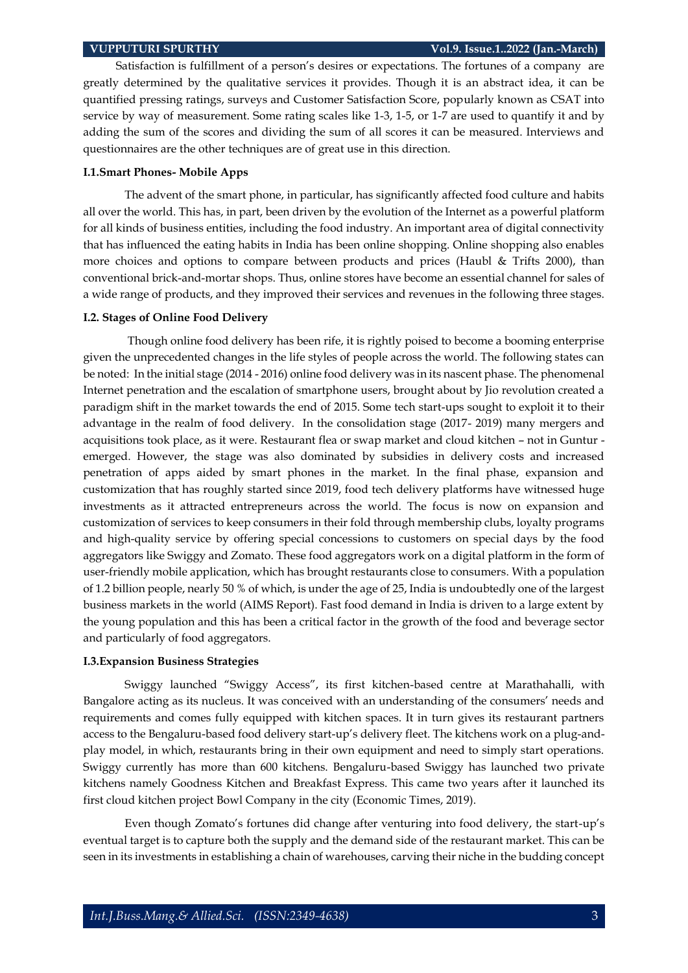Satisfaction is fulfillment of a person's desires or expectations. The fortunes of a company are greatly determined by the qualitative services it provides. Though it is an abstract idea, it can be quantified pressing ratings, surveys and Customer Satisfaction Score, popularly known as CSAT into service by way of measurement. Some rating scales like 1-3, 1-5, or 1-7 are used to quantify it and by adding the sum of the scores and dividing the sum of all scores it can be measured. Interviews and questionnaires are the other techniques are of great use in this direction.

### **I.1.Smart Phones- Mobile Apps**

The advent of the smart phone, in particular, has significantly affected food culture and habits all over the world. This has, in part, been driven by the evolution of the Internet as a powerful platform for all kinds of business entities, including the food industry. An important area of digital connectivity that has influenced the eating habits in India has been online shopping. Online shopping also enables more choices and options to compare between products and prices (Haubl & Trifts 2000), than conventional brick-and-mortar shops. Thus, online stores have become an essential channel for sales of a wide range of products, and they improved their services and revenues in the following three stages.

#### **I.2. Stages of Online Food Delivery**

Though online food delivery has been rife, it is rightly poised to become a booming enterprise given the unprecedented changes in the life styles of people across the world. The following states can be noted: In the initial stage (2014 - 2016) online food delivery was in its nascent phase. The phenomenal Internet penetration and the escalation of smartphone users, brought about by Jio revolution created a paradigm shift in the market towards the end of 2015. Some tech start-ups sought to exploit it to their advantage in the realm of food delivery. In the consolidation stage (2017- 2019) many mergers and acquisitions took place, as it were. Restaurant flea or swap market and cloud kitchen – not in Guntur emerged. However, the stage was also dominated by subsidies in delivery costs and increased penetration of apps aided by smart phones in the market. In the final phase, expansion and customization that has roughly started since 2019, food tech delivery platforms have witnessed huge investments as it attracted entrepreneurs across the world. The focus is now on expansion and customization of services to keep consumers in their fold through membership clubs, loyalty programs and high-quality service by offering special concessions to customers on special days by the food aggregators like Swiggy and Zomato. These food aggregators work on a digital platform in the form of user-friendly mobile application, which has brought restaurants close to consumers. With a population of 1.2 billion people, nearly 50 % of which, is under the age of 25, India is undoubtedly one of the largest business markets in the world (AIMS Report). Fast food demand in India is driven to a large extent by the young population and this has been a critical factor in the growth of the food and beverage sector and particularly of food aggregators.

#### **I.3.Expansion Business Strategies**

Swiggy launched "Swiggy Access", its first kitchen-based centre at Marathahalli, with Bangalore acting as its nucleus. It was conceived with an understanding of the consumers' needs and requirements and comes fully equipped with kitchen spaces. It in turn gives its restaurant partners access to the Bengaluru-based food delivery start-up's delivery fleet. The kitchens work on a plug-andplay model, in which, restaurants bring in their own equipment and need to simply start operations. Swiggy currently has more than 600 kitchens. Bengaluru-based Swiggy has launched two private kitchens namely Goodness Kitchen and Breakfast Express. This came two years after it launched its first cloud kitchen project Bowl Company in the city (Economic Times, 2019).

Even though Zomato's fortunes did change after venturing into food delivery, the start-up's eventual target is to capture both the supply and the demand side of the restaurant market. This can be seen in its investments in establishing a chain of warehouses, carving their niche in the budding concept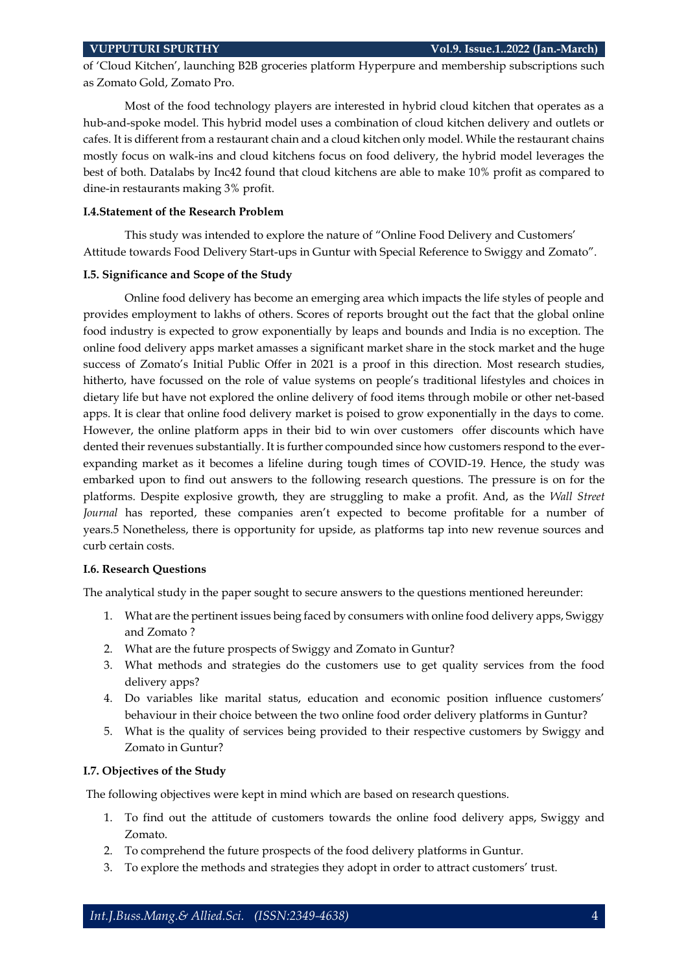of 'Cloud Kitchen', launching B2B groceries platform Hyperpure and membership subscriptions such as Zomato Gold, Zomato Pro.

Most of the food technology players are interested in hybrid cloud kitchen that operates as a hub-and-spoke model. This hybrid model uses a combination of cloud kitchen delivery and outlets or cafes. It is different from a restaurant chain and a cloud kitchen only model. While the restaurant chains mostly focus on walk-ins and cloud kitchens focus on food delivery, the hybrid model leverages the best of both. Datalabs by Inc42 found that cloud kitchens are able to make 10% profit as compared to dine-in restaurants making 3% profit.

## **I.4.Statement of the Research Problem**

This study was intended to explore the nature of "Online Food Delivery and Customers' Attitude towards Food Delivery Start-ups in Guntur with Special Reference to Swiggy and Zomato".

### **I.5. Significance and Scope of the Study**

Online food delivery has become an emerging area which impacts the life styles of people and provides employment to lakhs of others. Scores of reports brought out the fact that the global online food industry is expected to grow exponentially by leaps and bounds and India is no exception. The online food delivery apps market amasses a significant market share in the stock market and the huge success of Zomato's Initial Public Offer in 2021 is a proof in this direction. Most research studies, hitherto, have focussed on the role of value systems on people's traditional lifestyles and choices in dietary life but have not explored the online delivery of food items through mobile or other net-based apps. It is clear that online food delivery market is poised to grow exponentially in the days to come. However, the online platform apps in their bid to win over customers offer discounts which have dented their revenues substantially. It is further compounded since how customers respond to the everexpanding market as it becomes a lifeline during tough times of COVID-19. Hence, the study was embarked upon to find out answers to the following research questions. The pressure is on for the platforms. Despite explosive growth, they are struggling to make a profit. And, as the *Wall Street Journal* has reported, these companies aren't expected to become profitable for a number of years.5 Nonetheless, there is opportunity for upside, as platforms tap into new revenue sources and curb certain costs.

## **I.6. Research Questions**

The analytical study in the paper sought to secure answers to the questions mentioned hereunder:

- 1. What are the pertinent issues being faced by consumers with online food delivery apps, Swiggy and Zomato ?
- 2. What are the future prospects of Swiggy and Zomato in Guntur?
- 3. What methods and strategies do the customers use to get quality services from the food delivery apps?
- 4. Do variables like marital status, education and economic position influence customers' behaviour in their choice between the two online food order delivery platforms in Guntur?
- 5. What is the quality of services being provided to their respective customers by Swiggy and Zomato in Guntur?

#### **I.7. Objectives of the Study**

The following objectives were kept in mind which are based on research questions.

- 1. To find out the attitude of customers towards the online food delivery apps, Swiggy and Zomato.
- 2. To comprehend the future prospects of the food delivery platforms in Guntur.
- 3. To explore the methods and strategies they adopt in order to attract customers' trust.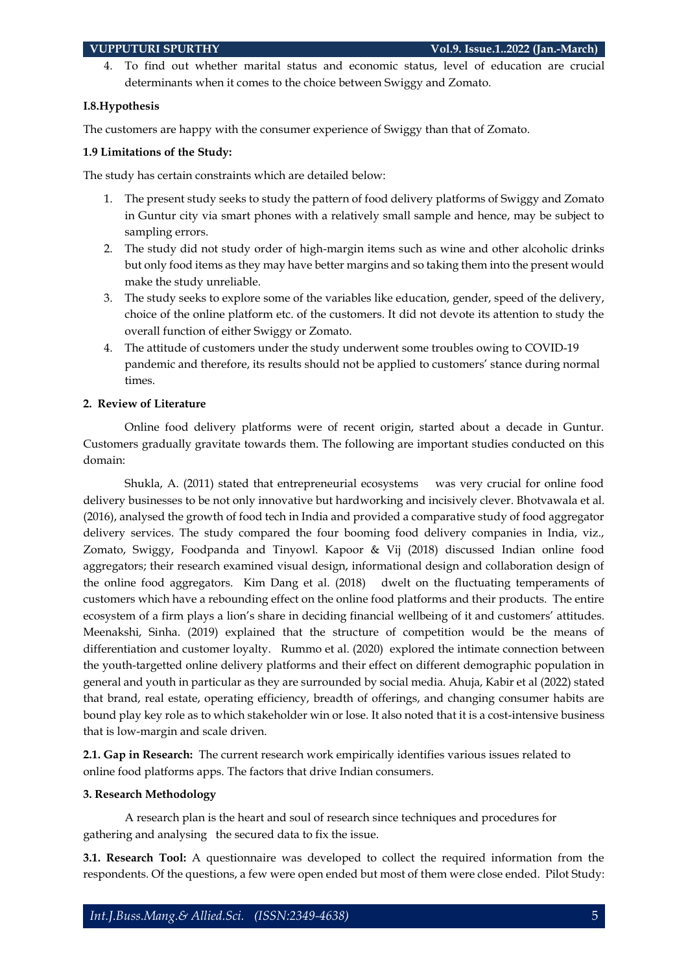4. To find out whether marital status and economic status, level of education are crucial determinants when it comes to the choice between Swiggy and Zomato.

# **I.8.Hypothesis**

The customers are happy with the consumer experience of Swiggy than that of Zomato.

## **1.9 Limitations of the Study:**

The study has certain constraints which are detailed below:

- 1. The present study seeks to study the pattern of food delivery platforms of Swiggy and Zomato in Guntur city via smart phones with a relatively small sample and hence, may be subject to sampling errors.
- 2. The study did not study order of high-margin items such as wine and other alcoholic drinks but only food items as they may have better margins and so taking them into the present would make the study unreliable.
- 3. The study seeks to explore some of the variables like education, gender, speed of the delivery, choice of the online platform etc. of the customers. It did not devote its attention to study the overall function of either Swiggy or Zomato.
- 4. The attitude of customers under the study underwent some troubles owing to COVID-19 pandemic and therefore, its results should not be applied to customers' stance during normal times.

# **2. Review of Literature**

Online food delivery platforms were of recent origin, started about a decade in Guntur. Customers gradually gravitate towards them. The following are important studies conducted on this domain:

Shukla, A. (2011) stated that entrepreneurial ecosystems was very crucial for online food delivery businesses to be not only innovative but hardworking and incisively clever. Bhotvawala et al. (2016), analysed the growth of food tech in India and provided a comparative study of food aggregator delivery services. The study compared the four booming food delivery companies in India, viz., Zomato, Swiggy, Foodpanda and Tinyowl. Kapoor & Vij (2018) discussed Indian online food aggregators; their research examined visual design, informational design and collaboration design of the online food aggregators. [Kim Dang et al. \(2018\)](https://www.frontiersin.org/articles/10.3389/fpsyg.2020.583768/full#B23) dwelt on the fluctuating temperaments of customers which have a rebounding effect on the online food platforms and their products. The entire ecosystem of a firm plays a lion's share in deciding financial wellbeing of it and customers' attitudes. Meenakshi, Sinha. (2019) explained that the structure of competition would be the means of differentiation and customer loyalty. [Rummo et al. \(2020\)](https://www.frontiersin.org/articles/10.3389/fpsyg.2020.583768/full#B40) explored the intimate connection between the youth-targetted online delivery platforms and their effect on different demographic population in general and youth in particular as they are surrounded by social media. Ahuja, Kabir et al (2022) stated that brand, real estate, operating efficiency, breadth of offerings, and changing consumer habits are bound play key role as to which stakeholder win or lose. It also noted that it is a cost-intensive business that is low-margin and scale driven.

**2.1. Gap in Research:** The current research work empirically identifies various issues related to online food platforms apps. The factors that drive Indian consumers.

## **3. Research Methodology**

 A research plan is the heart and soul of research since techniques and procedures for gathering and analysing the secured data to fix the issue.

**3.1. Research Tool:** A questionnaire was developed to collect the required information from the respondents. Of the questions, a few were open ended but most of them were close ended. Pilot Study: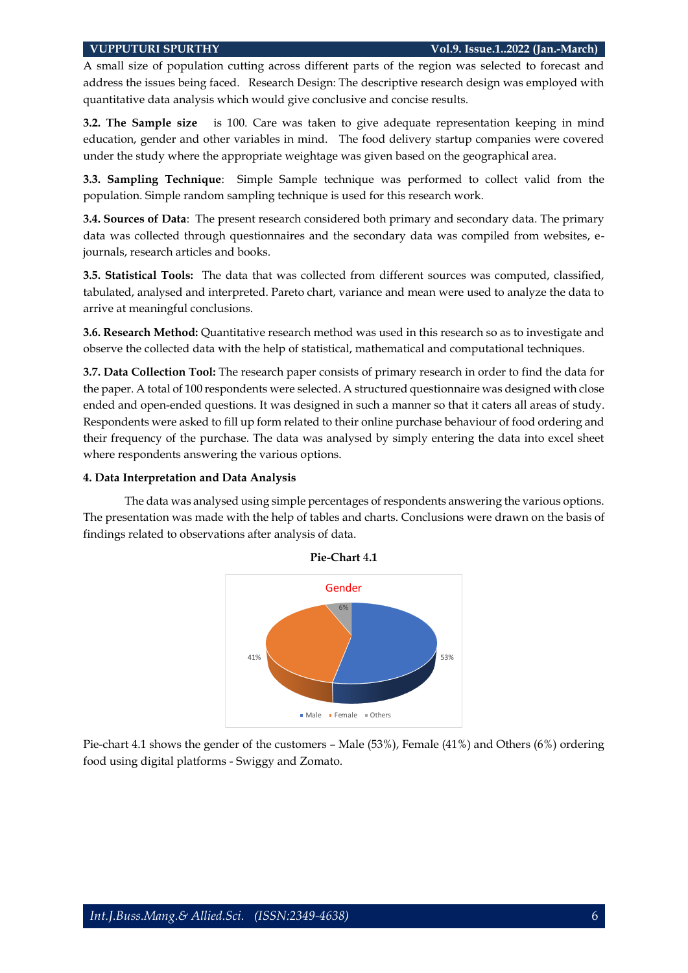A small size of population cutting across different parts of the region was selected to forecast and address the issues being faced. Research Design: The descriptive research design was employed with quantitative data analysis which would give conclusive and concise results.

**3.2. The Sample size** is 100. Care was taken to give adequate representation keeping in mind education, gender and other variables in mind. The food delivery startup companies were covered under the study where the appropriate weightage was given based on the geographical area.

**3.3. Sampling Technique**: Simple Sample technique was performed to collect valid from the population. Simple random sampling technique is used for this research work.

**3.4. Sources of Data**: The present research considered both primary and secondary data. The primary data was collected through questionnaires and the secondary data was compiled from websites, ejournals, research articles and books.

**3.5. Statistical Tools:** The data that was collected from different sources was computed, classified, tabulated, analysed and interpreted. Pareto chart, variance and mean were used to analyze the data to arrive at meaningful conclusions.

**3.6. Research Method:** Quantitative research method was used in this research so as to investigate and observe the collected data with the help of statistical, mathematical and computational techniques.

**3.7. Data Collection Tool:** The research paper consists of primary research in order to find the data for the paper. A total of 100 respondents were selected. A structured questionnaire was designed with close ended and open-ended questions. It was designed in such a manner so that it caters all areas of study. Respondents were asked to fill up form related to their online purchase behaviour of food ordering and their frequency of the purchase. The data was analysed by simply entering the data into excel sheet where respondents answering the various options.

### **4. Data Interpretation and Data Analysis**

The data was analysed using simple percentages of respondents answering the various options. The presentation was made with the help of tables and charts. Conclusions were drawn on the basis of findings related to observations after analysis of data.



Pie-chart 4.1 shows the gender of the customers – Male (53%), Female (41%) and Others (6%) ordering food using digital platforms - Swiggy and Zomato.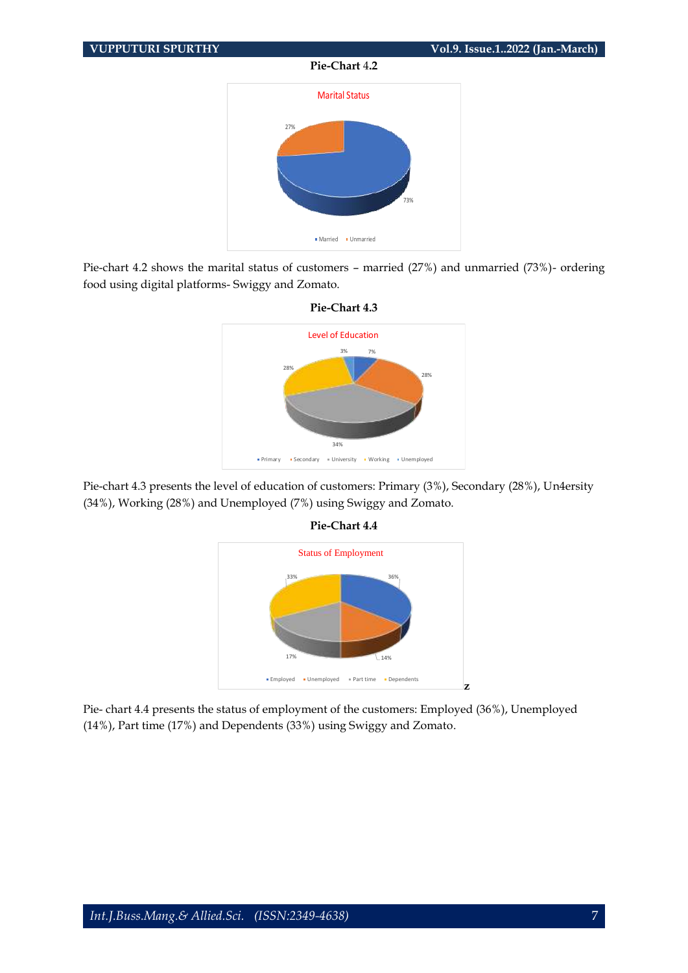## **Pie-Chart** 4**.2**



Pie-chart 4.2 shows the marital status of customers – married (27%) and unmarried (73%)- ordering food using digital platforms- Swiggy and Zomato.



Pie-chart 4.3 presents the level of education of customers: Primary (3%), Secondary (28%), Un4ersity (34%), Working (28%) and Unemployed (7%) using Swiggy and Zomato.



**Pie-Chart 4.4**

Pie- chart 4.4 presents the status of employment of the customers: Employed (36%), Unemployed (14%), Part time (17%) and Dependents (33%) using Swiggy and Zomato.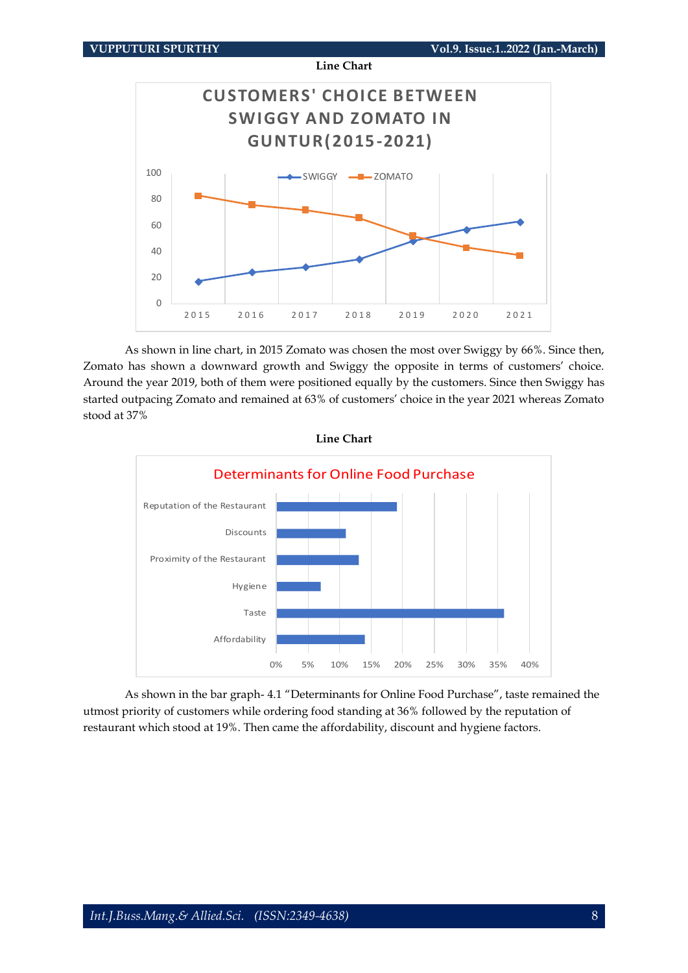80

100





As shown in line chart, in 2015 Zomato was chosen the most over Swiggy by 66%. Since then, Zomato has shown a downward growth and Swiggy the opposite in terms of customers' choice. Around the year 2019, both of them were positioned equally by the customers. Since then Swiggy has started outpacing Zomato and remained at 63% of customers' choice in the year 2021 whereas Zomato stood at 37%



As shown in the bar graph- 4.1 "Determinants for Online Food Purchase", taste remained the utmost priority of customers while ordering food standing at 36% followed by the reputation of restaurant which stood at 19%. Then came the affordability, discount and hygiene factors.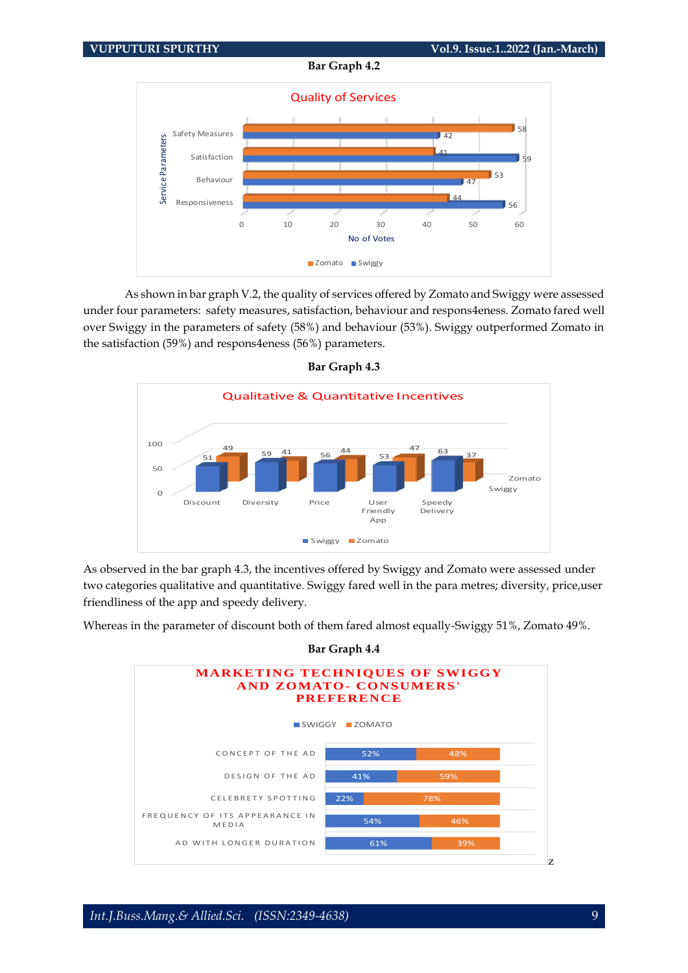### **Bar Graph 4.2**



As shown in bar graph V.2, the quality of services offered by Zomato and Swiggy were assessed under four parameters: safety measures, satisfaction, behaviour and respons4eness. Zomato fared well over Swiggy in the parameters of safety (58%) and behaviour (53%). Swiggy outperformed Zomato in the satisfaction (59%) and respons4eness (56%) parameters.



As observed in the bar graph 4.3, the incentives offered by Swiggy and Zomato were assessed under two categories qualitative and quantitative. Swiggy fared well in the para metres; diversity, price,user friendliness of the app and speedy delivery.

Whereas in the parameter of discount both of them fared almost equally-Swiggy 51%, Zomato 49%.



**Bar Graph 4.4**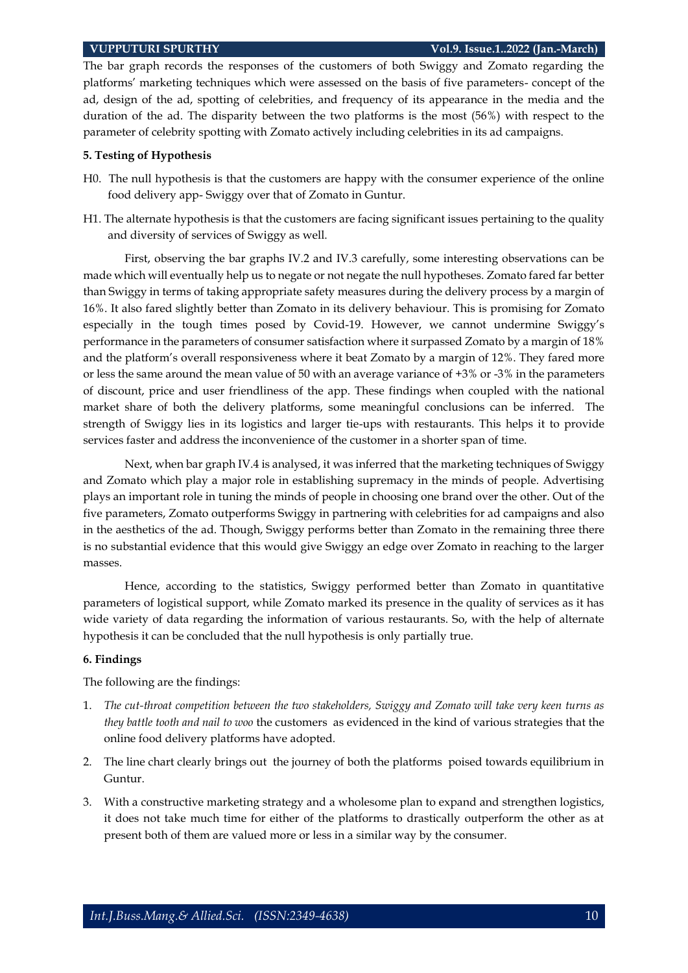The bar graph records the responses of the customers of both Swiggy and Zomato regarding the platforms' marketing techniques which were assessed on the basis of five parameters- concept of the ad, design of the ad, spotting of celebrities, and frequency of its appearance in the media and the duration of the ad. The disparity between the two platforms is the most (56%) with respect to the parameter of celebrity spotting with Zomato actively including celebrities in its ad campaigns.

#### **5. Testing of Hypothesis**

- H0. The null hypothesis is that the customers are happy with the consumer experience of the online food delivery app- Swiggy over that of Zomato in Guntur.
- H1. The alternate hypothesis is that the customers are facing significant issues pertaining to the quality and diversity of services of Swiggy as well.

First, observing the bar graphs IV.2 and IV.3 carefully, some interesting observations can be made which will eventually help us to negate or not negate the null hypotheses. Zomato fared far better than Swiggy in terms of taking appropriate safety measures during the delivery process by a margin of 16%. It also fared slightly better than Zomato in its delivery behaviour. This is promising for Zomato especially in the tough times posed by Covid-19. However, we cannot undermine Swiggy's performance in the parameters of consumer satisfaction where it surpassed Zomato by a margin of 18% and the platform's overall responsiveness where it beat Zomato by a margin of 12%. They fared more or less the same around the mean value of 50 with an average variance of +3% or -3% in the parameters of discount, price and user friendliness of the app. These findings when coupled with the national market share of both the delivery platforms, some meaningful conclusions can be inferred. The strength of Swiggy lies in its logistics and larger tie-ups with restaurants. This helps it to provide services faster and address the inconvenience of the customer in a shorter span of time.

Next, when bar graph IV.4 is analysed, it was inferred that the marketing techniques of Swiggy and Zomato which play a major role in establishing supremacy in the minds of people. Advertising plays an important role in tuning the minds of people in choosing one brand over the other. Out of the five parameters, Zomato outperforms Swiggy in partnering with celebrities for ad campaigns and also in the aesthetics of the ad. Though, Swiggy performs better than Zomato in the remaining three there is no substantial evidence that this would give Swiggy an edge over Zomato in reaching to the larger masses.

Hence, according to the statistics, Swiggy performed better than Zomato in quantitative parameters of logistical support, while Zomato marked its presence in the quality of services as it has wide variety of data regarding the information of various restaurants. So, with the help of alternate hypothesis it can be concluded that the null hypothesis is only partially true.

#### **6. Findings**

The following are the findings:

- 1. *The cut-throat competition between the two stakeholders, Swiggy and Zomato will take very keen turns as they battle tooth and nail to woo* the customers as evidenced in the kind of various strategies that the online food delivery platforms have adopted.
- 2. The line chart clearly brings out the journey of both the platforms poised towards equilibrium in Guntur.
- 3. With a constructive marketing strategy and a wholesome plan to expand and strengthen logistics, it does not take much time for either of the platforms to drastically outperform the other as at present both of them are valued more or less in a similar way by the consumer.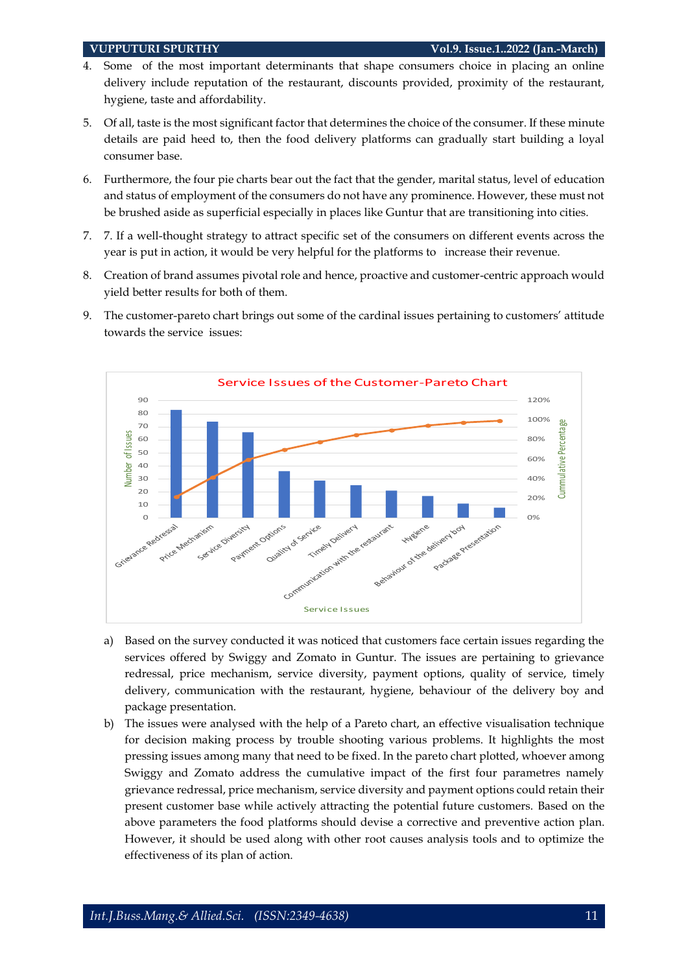- 4. Some of the most important determinants that shape consumers choice in placing an online delivery include reputation of the restaurant, discounts provided, proximity of the restaurant, hygiene, taste and affordability.
- 5. Of all, taste is the most significant factor that determines the choice of the consumer. If these minute details are paid heed to, then the food delivery platforms can gradually start building a loyal consumer base.
- 6. Furthermore, the four pie charts bear out the fact that the gender, marital status, level of education and status of employment of the consumers do not have any prominence. However, these must not be brushed aside as superficial especially in places like Guntur that are transitioning into cities.
- 7. 7. If a well-thought strategy to attract specific set of the consumers on different events across the year is put in action, it would be very helpful for the platforms to increase their revenue.
- 8. Creation of brand assumes pivotal role and hence, proactive and customer-centric approach would yield better results for both of them.
- 9. The customer-pareto chart brings out some of the cardinal issues pertaining to customers' attitude towards the service issues:



- a) Based on the survey conducted it was noticed that customers face certain issues regarding the services offered by Swiggy and Zomato in Guntur. The issues are pertaining to grievance redressal, price mechanism, service diversity, payment options, quality of service, timely delivery, communication with the restaurant, hygiene, behaviour of the delivery boy and package presentation.
- b) The issues were analysed with the help of a Pareto chart, an effective visualisation technique for decision making process by trouble shooting various problems. It highlights the most pressing issues among many that need to be fixed. In the pareto chart plotted, whoever among Swiggy and Zomato address the cumulative impact of the first four parametres namely grievance redressal, price mechanism, service diversity and payment options could retain their present customer base while actively attracting the potential future customers. Based on the above parameters the food platforms should devise a corrective and preventive action plan. However, it should be used along with other root causes analysis tools and to optimize the effectiveness of its plan of action.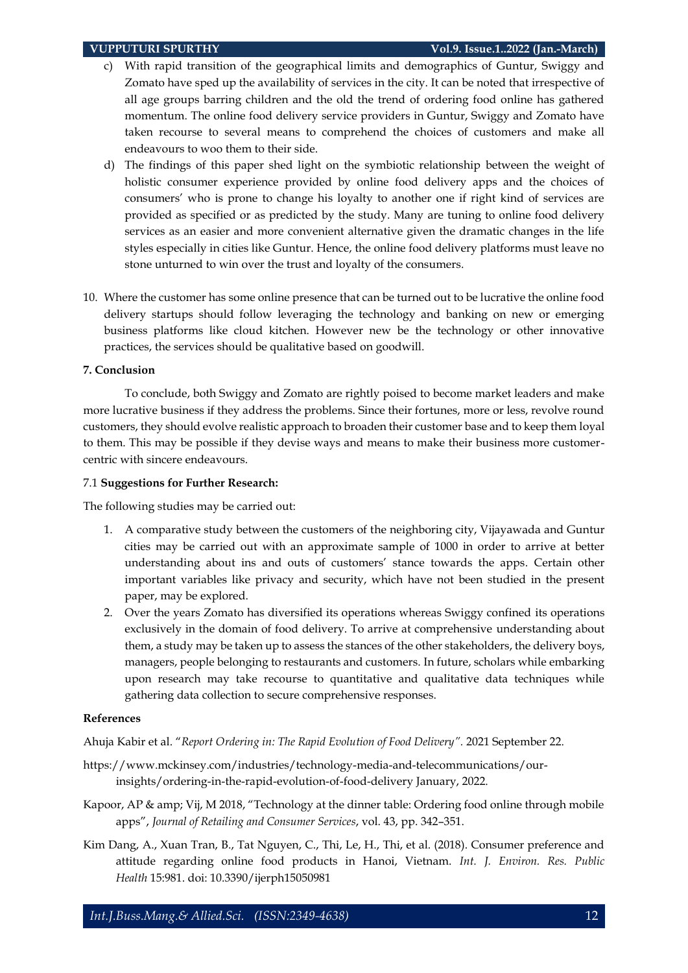- c) With rapid transition of the geographical limits and demographics of Guntur, Swiggy and Zomato have sped up the availability of services in the city. It can be noted that irrespective of all age groups barring children and the old the trend of ordering food online has gathered momentum. The online food delivery service providers in Guntur, Swiggy and Zomato have taken recourse to several means to comprehend the choices of customers and make all endeavours to woo them to their side.
- d) The findings of this paper shed light on the symbiotic relationship between the weight of holistic consumer experience provided by online food delivery apps and the choices of consumers' who is prone to change his loyalty to another one if right kind of services are provided as specified or as predicted by the study. Many are tuning to online food delivery services as an easier and more convenient alternative given the dramatic changes in the life styles especially in cities like Guntur. Hence, the online food delivery platforms must leave no stone unturned to win over the trust and loyalty of the consumers.
- 10. Where the customer has some online presence that can be turned out to be lucrative the online food delivery startups should follow leveraging the technology and banking on new or emerging business platforms like cloud kitchen. However new be the technology or other innovative practices, the services should be qualitative based on goodwill.

# **7. Conclusion**

To conclude, both Swiggy and Zomato are rightly poised to become market leaders and make more lucrative business if they address the problems. Since their fortunes, more or less, revolve round customers, they should evolve realistic approach to broaden their customer base and to keep them loyal to them. This may be possible if they devise ways and means to make their business more customercentric with sincere endeavours.

## 7.1 **Suggestions for Further Research:**

The following studies may be carried out:

- 1. A comparative study between the customers of the neighboring city, Vijayawada and Guntur cities may be carried out with an approximate sample of 1000 in order to arrive at better understanding about ins and outs of customers' stance towards the apps. Certain other important variables like privacy and security, which have not been studied in the present paper, may be explored.
- 2. Over the years Zomato has diversified its operations whereas Swiggy confined its operations exclusively in the domain of food delivery. To arrive at comprehensive understanding about them, a study may be taken up to assess the stances of the other stakeholders, the delivery boys, managers, people belonging to restaurants and customers. In future, scholars while embarking upon research may take recourse to quantitative and qualitative data techniques while gathering data collection to secure comprehensive responses.

## **References**

Ahuja Kabir et al. "*Report Ordering in: The Rapid Evolution of Food Delivery".* 2021 September 22.

- https://www.mckinsey.com/industries/technology-media-and-telecommunications/ourinsights/ordering-in-the-rapid-evolution-of-food-delivery January, 2022.
- Kapoor, AP & amp; Vij, M 2018, "Technology at the dinner table: Ordering food online through mobile apps", *Journal of Retailing and Consumer Services*, vol. 43, pp. 342–351.
- Kim Dang, A., Xuan Tran, B., Tat Nguyen, C., Thi, Le, H., Thi, et al. (2018). Consumer preference and attitude regarding online food products in Hanoi, Vietnam. *Int. J. Environ. Res. Public Health* 15:981. doi: 10.3390/ijerph15050981